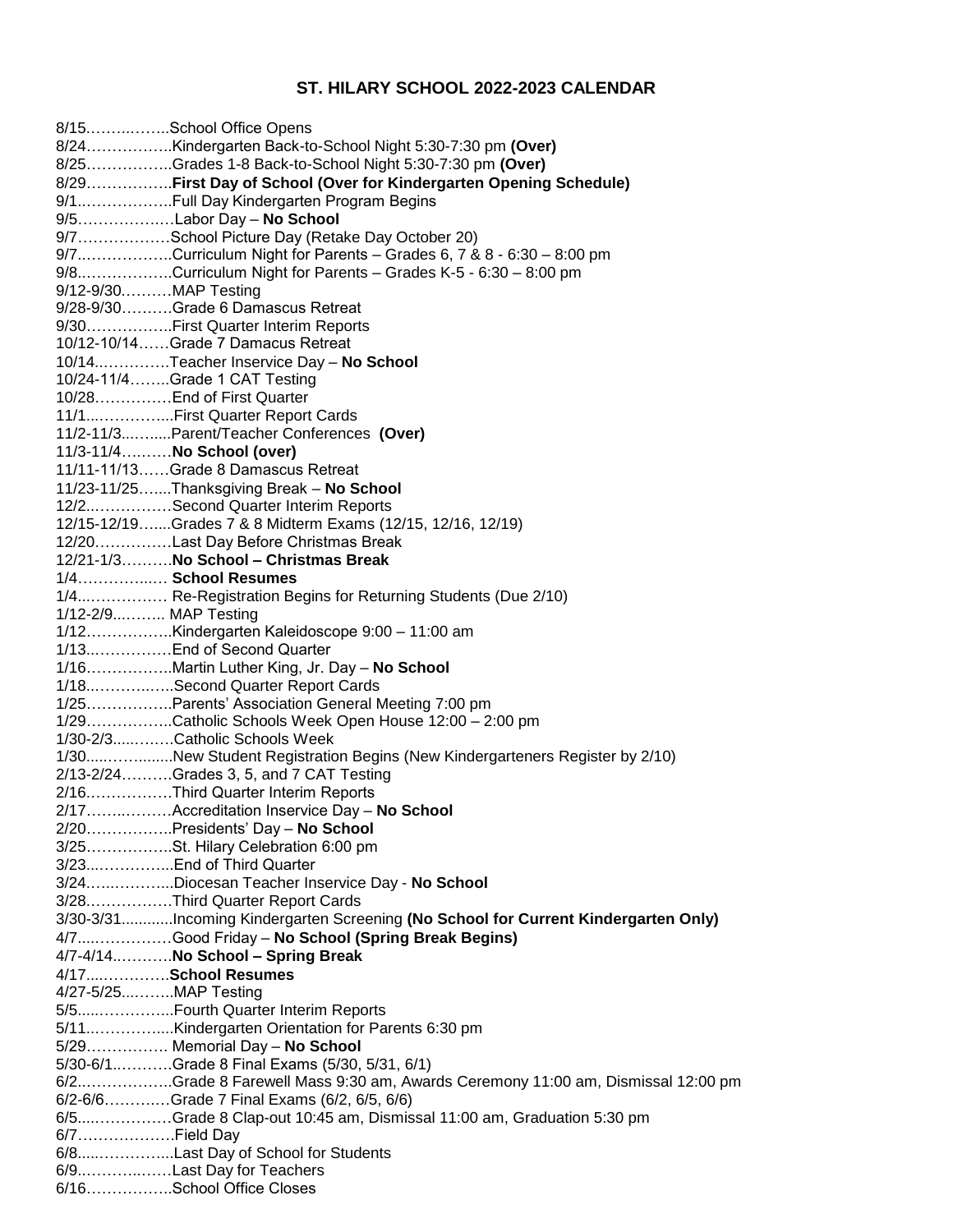#### **ST. HILARY SCHOOL 2022-2023 CALENDAR**

8/15.……..……..School Office Opens 8/24……………..Kindergarten Back-to-School Night 5:30-7:30 pm **(Over)** 8/25……………..Grades 1-8 Back-to-School Night 5:30-7:30 pm **(Over)** 8/29……………..**First Day of School (Over for Kindergarten Opening Schedule)** 9/1..……………..Full Day Kindergarten Program Begins 9/5…………….…Labor Day – **No School** 9/7………………School Picture Day (Retake Day October 20) 9/7..……………..Curriculum Night for Parents – Grades 6, 7 & 8 - 6:30 – 8:00 pm 9/8..……………..Curriculum Night for Parents – Grades K-5 - 6:30 – 8:00 pm 9/12-9/30.………MAP Testing 9/28-9/30……….Grade 6 Damascus Retreat 9/30……………..First Quarter Interim Reports 10/12-10/14……Grade 7 Damacus Retreat 10/14..………….Teacher Inservice Day – **No School** 10/24-11/4……..Grade 1 CAT Testing 10/28……………End of First Quarter 11/1...…………...First Quarter Report Cards 11/2-11/3...….....Parent/Teacher Conferences **(Over)** 11/3-11/4….……**No School (over)** 11/11-11/13……Grade 8 Damascus Retreat 11/23-11/25…....Thanksgiving Break – **No School** 12/2..……………Second Quarter Interim Reports 12/15-12/19…....Grades 7 & 8 Midterm Exams (12/15, 12/16, 12/19) 12/20……………Last Day Before Christmas Break 12/21-1/3……….**No School – Christmas Break** 1/4…………...… **School Resumes** 1/4...…………… Re-Registration Begins for Returning Students (Due 2/10) 1/12-2/9...…….. MAP Testing 1/12……………..Kindergarten Kaleidoscope 9:00 – 11:00 am 1/13..……………End of Second Quarter 1/16……………..Martin Luther King, Jr. Day – **No School** 1/18..………..…..Second Quarter Report Cards 1/25……………..Parents' Association General Meeting 7:00 pm 1/29……………..Catholic Schools Week Open House 12:00 – 2:00 pm 1/30-2/3.....….….Catholic Schools Week 1/30.....……........New Student Registration Begins (New Kindergarteners Register by 2/10) 2/13-2/24……….Grades 3, 5, and 7 CAT Testing 2/16.…………….Third Quarter Interim Reports 2/17……..………Accreditation Inservice Day – **No School** 2/20……………..Presidents' Day – **No School** 3/25……………..St. Hilary Celebration 6:00 pm 3/23...…………...End of Third Quarter 3/24.…..………...Diocesan Teacher Inservice Day - **No School** 3/28.…………….Third Quarter Report Cards 3/30-3/31............Incoming Kindergarten Screening **(No School for Current Kindergarten Only)** 4/7....……………Good Friday – **No School (Spring Break Begins)** 4/7-4/14..……….**No School – Spring Break** 4/17....………….**School Resumes** 4/27-5/25...……..MAP Testing 5/5.....…………...Fourth Quarter Interim Reports 5/11..…………....Kindergarten Orientation for Parents 6:30 pm 5/29……………. Memorial Day – **No School** 5/30-6/1..……….Grade 8 Final Exams (5/30, 5/31, 6/1) 6/2..……………..Grade 8 Farewell Mass 9:30 am, Awards Ceremony 11:00 am, Dismissal 12:00 pm 6/2-6/6……….…Grade 7 Final Exams (6/2, 6/5, 6/6) 6/5....……………Grade 8 Clap-out 10:45 am, Dismissal 11:00 am, Graduation 5:30 pm 6/7……………….Field Day 6/8.....…………...Last Day of School for Students 6/9..………..……Last Day for Teachers 6/16……………..School Office Closes